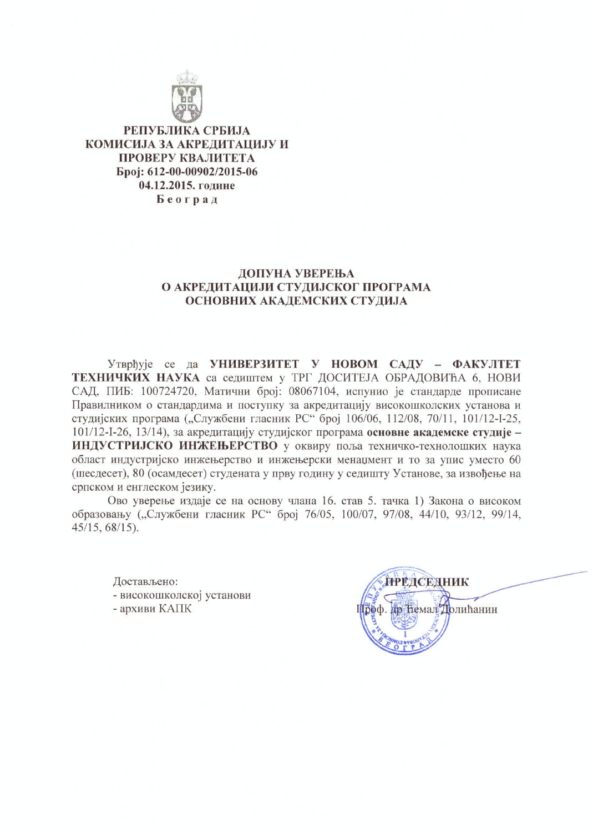

РЕПУБЛИКА СРБИЈА КОМИСИЈА ЗА АКРЕДИТАЦИЈУ И ПРОВЕРУ КВАЛИТЕТА Epoj: 612-00-00902/2015-06 04.12.2015. године Београд

# ДОПУНА УВЕРЕЊА О АКРЕДИТАЦИЈИ СТУДИЈСКОГ ПРОГРАМА ОСНОВНИХ АКАДЕМСКИХ СТУДИЈА

Утврђује се да УНИВЕРЗИТЕТ У НОВОМ САДУ - ФАКУЛТЕТ ТЕХНИЧКИХ НАУКА са седиштем у ТРГ ДОСИТЕЈА ОБРАДОВИЋА 6, НОВИ САД, ПИБ: 100724720, Матични број: 08067104, испунио је стандарде прописане Правилником о стандардима и поступку за акредитацију високошколских установа и студијских програма ("Службени гласник РС" број 106/06, 112/08, 70/11, 101/12-I-25, 101/12-I-26, 13/14), за акредитацију студијског програма основне академске студије -ИНДУСТРИЈСКО ИНЖЕЊЕРСТВО у оквиру поља техничко-технолошких наука област индустријско инжењерство и инжењерски менаџмент и то за упис уместо 60 (шесдесет), 80 (осамдесет) студената у прву годину у седишту Установе, за извођење на српском и енглеском језику.

Ово уверење издаје се на основу члана 16. став 5. тачка 1) Закона о високом образовању ("Службени гласник РС" број 76/05, 100/07, 97/08, 44/10, 93/12, 99/14,  $45/15, 68/15$ .

Достављено:

- високошколској установи
- архиви КАПК

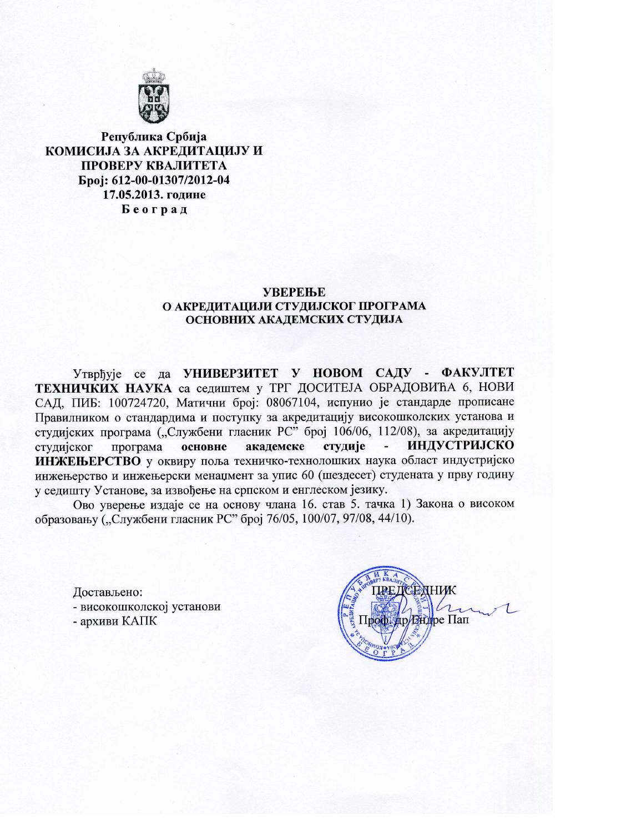

### Република Србија КОМИСИЈА ЗА АКРЕДИТАЦИЈУ И ПРОВЕРУ КВАЛИТЕТА Epoi: 612-00-01307/2012-04 17.05.2013. године Београд

#### **УВЕРЕЊЕ** О АКРЕДИТАЦИЈИ СТУДИЈСКОГ ПРОГРАМА ОСНОВНИХ АКАДЕМСКИХ СТУДИЈА

Утврђује се да УНИВЕРЗИТЕТ У НОВОМ САДУ - ФАКУЛТЕТ ТЕХНИЧКИХ НАУКА са седиштем у ТРГ ДОСИТЕЈА ОБРАДОВИЋА 6, НОВИ САД, ПИБ: 100724720, Матични број: 08067104, испунио је стандарде прописане Правилником о стандардима и поступку за акредитацију високошколских установа и студијских програма ("Службени гласник РС" број 106/06, 112/08), за акредитацију ИНДУСТРИЈСКО студије студијског програма основне академске  $\overline{\phantom{a}}$ ИНЖЕЊЕРСТВО у оквиру поља техничко-технолошких наука област индустријско инжењерство и инжењерски менаџмент за упис 60 (шездесет) студената у прву годину у седишту Установе, за извођење на српском и енглеском језику.

Ово уверење издаје се на основу члана 16. став 5. тачка 1) Закона о високом образовању ("Службени гласник РС" број 76/05, 100/07, 97/08, 44/10).

Достављено: - високошколској установи - архиви КАПК

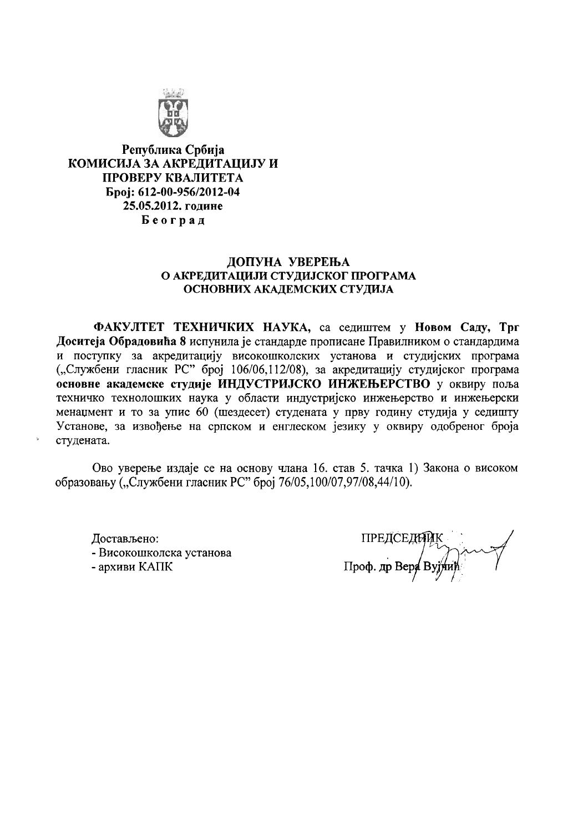

Република Србија КОМИСИЈА ЗА АКРЕДИТАЦИЈУ И ПРОВЕРУ КВАЛИТЕТА **Spoj: 612-00-956/2012-04** 25.05.2012. године Београд

### ДОПУНА УВЕРЕЊА О АКРЕДИТАЦИЈИ СТУДИЈСКОГ ПРОГРАМА ОСНОВНИХ АКАДЕМСКИХ СТУДИЈА

ФАКУЛТЕТ ТЕХНИЧКИХ НАУКА, са седиштем у Новом Саду, Трг Доситеја Обрадовића 8 испунила је стандарде прописане Правилником о стандардима и поступку за акредитацију високошколских установа и студијских програма ("Службени гласник РС" број 106/06,112/08), за акредитацију студијског програма основне академске студије ИНДУСТРИЈСКО ИНЖЕЊЕРСТВО у оквиру поља техничко технолошких наука у области индустријско инжењерство и инжењерски менацмент и то за упис 60 (шездесет) студената у прву годину студија у седишту Установе, за извођење на српском и енглеском језику у оквиру одобреног броја студената.

Ово уверење издаје се на основу члана 16. став 5. тачка 1) Закона о високом образовању ("Службени гласник РС" број 76/05,100/07,97/08,44/10).

Лостављено: - Високошколска установа - архиви КАПК

**ПРЕДСЕДИ** Проф. др Вера Вуј